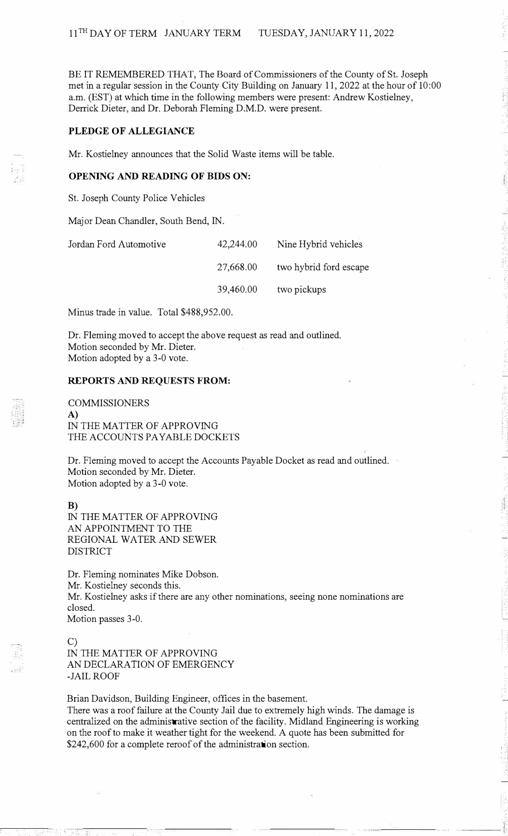BE IT REMEMBERED THAT, The Board of Commissioners of the County of St. Joseph met in a regular session in the County City Building on January 11, 2022 at the hour of 10 :00 a.m. (EST) at which time in the following members were present: Andrew Kostielney, Derrick Dieter, and Dr. Deborah Fleming D.M.D. were present.

# **PLEDGE OF ALLEGIANCE**

Mr. Kostielney announces that the Solid Waste items will be table.

## **OPENING AND READING OF BIDS ON:**

St. Joseph County Police Vehicles

Major Dean Chandler, South Bend, IN.

| Jordan Ford Automotive | 42,244.00 | Nine Hybrid vehicles   |
|------------------------|-----------|------------------------|
|                        | 27,668.00 | two hybrid ford escape |
|                        | 39,460.00 | two pickups            |

Minus trade in value. Total \$488,952.00.

Dr. Fleming moved to accept the above request as read and outlined. Motion seconded by Mr. Dieter. Motion adopted by a 3-0 vote.

#### **REPORTS AND REQUESTS FROM:**

# COMMISSIONERS

**A)**  IN THE MATTER OF APPROVING THE ACCOUNTS PAYABLE DOCKETS

Dr. Fleming moved to accept the Accounts Payable Docket as read and outlined. Motion seconded by Mr. Dieter. Motion adopted by a 3-0 vote.

**B)**  IN THE MATTER OF APPROVING AN APPOINTMENT TO THE REGIONAL WATER AND SEWER DISTRICT

Dr. Fleming nominates Mike Dobson. Mr. Kostielney seconds this. Mr. Kostielney asks if there are any other nominations, seeing none nominations are closed. Motion passes 3-0.

### C)

IN THE MATTER OF APPROVING AN DECLARATION OF EMERGENCY -JAIL ROOF

Brian Davidson, Building Engineer, offices in the basement. There was a roof failure at the County Jail due to extremely high winds. The damage is centralized on the administrative section of the facility. Midland Engineering is working on the roof to make it weather tight for the weekend. A quote has been submitted for \$242,600 for a complete reroof of the administration section.

فنبت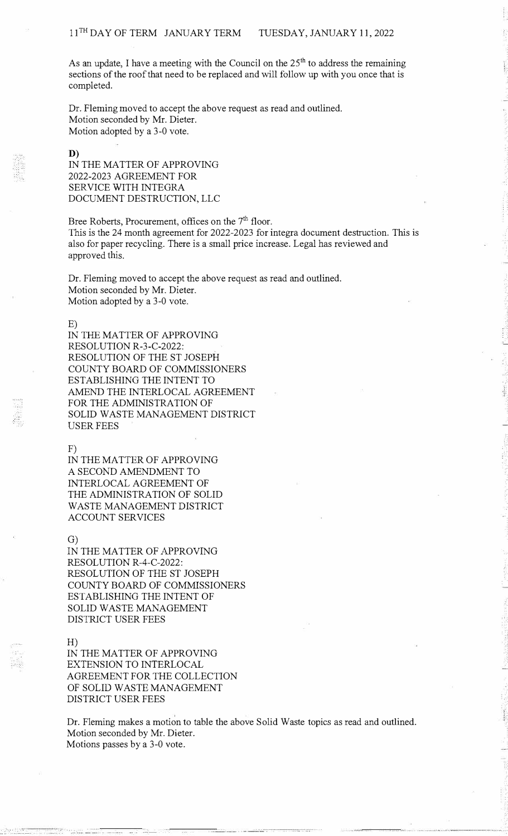As an update, I have a meeting with the Council on the  $25<sup>th</sup>$  to address the remaining sections of the roof that need to be replaced and will follow up with you once that is completed.

Dr. Fleming moved to accept the above request as read and outlined. Motion seconded by Mr. Dieter. Motion adopted by a 3-0 vote.

D)

IN THE MATTER OF APPROVING 2022-2023 AGREEMENT FOR SERVICE WITH INTEGRA DOCUMENT DESTRUCTION, LLC

Bree Roberts, Procurement, offices on the 7<sup>th</sup> floor. This is the 24 month agreement for 2022-2023 for integra document destruction. This is also for paper recycling. There is a small price increase. Legal has reviewed and approved this.

Dr. Fleming moved to accept the above request as read and outlined. Motion seconded by Mr. Dieter. Motion adopted by a 3-0 vote.

#### E)

IN THE MATTER OF APPROVING RESOLUTION R-3-C-2022: RESOLUTION OF THE ST JOSEPH COUNTY BOARD OF COMMISSIONERS ESTABLISHING THE INTENT TO AMEND THE INTERLOCAL AGREEMENT FOR THE ADMINISTRATION OF SOLID WASTE MANAGEMENT DISTRICT USER FEES

F)

IN THE MATTER OF APPROVING A SECOND AMENDMENT TO INTERLOCAL AGREEMENT OF THE ADMINISTRATION OF SOLID WASTE MANAGEMENT DISTRICT ACCOUNT SERVICES

## G)

IN THE MATTER OF APPROVING RESOLUTION R-4-C-2022: RESOLUTION OF THE ST JOSEPH COUNTY BOARD OF COMMISSIONERS ESTABLISHING THE INTENT OF SOLID WASTE MANAGEMENT DISTRICT USER FEES

H)

IN THE MATTER OF APPROVING EXTENSION TO INTERLOCAL AGREEMENT FOR THE COLLECTION OF SOLID WASTE MANAGEMENT DISTRICT USER FEES

Dr. Fleming makes a motion to table the above Solid Waste topics as read and outlined. Motion seconded by Mr. Dieter. Motions passes by a 3-0 vote.